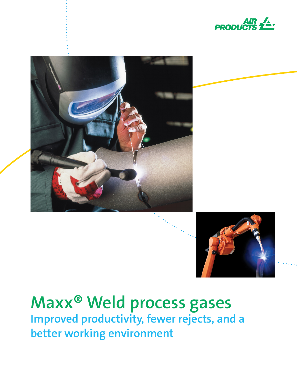





# **Maxx® Weld process gases Improved productivity, fewer rejects, and a better working environment**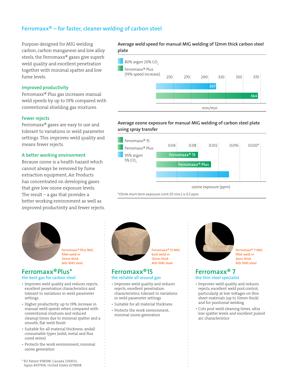# **Ferromaxx® – for faster, cleaner welding of carbon steel**

Purpose-designed for MIG welding carbon, carbon manganese and low alloy steels, the Ferromaxx® gases give superb weld quality and excellent penetration together with minimal spatter and low fume levels.

#### **Improved productivity**

Ferromaxx® Plus gas increases manual weld speeds by up to 19% compared with conventional shielding gas mixtures.

#### **Fewer rejects**

Ferromaxx® gases are easy to use and tolerant to variations in weld parameter settings. This improves weld quality and means fewer rejects.

#### **A better working environment**

Because ozone is a health hazard which cannot always be removed by fume extraction equipment, Air Products has concentrated on developing gases that give low ozone exposure levels. The result – a gas that provides a better working environment as well as improved productivity and fewer rejects. **Average weld speed for manual MIG welding of 12mm thick carbon steel plate**



**Average ozone exposure for manual MIG welding of carbon steel plate using spray transfer**



\*OSHA short term exposure Limit (15 min.) is 0.3 ppm.



## **Ferromaxx® Plus\* the best gas for carbon steel**

- Improves weld quality and reduces rejects, excellent penetration characteristics and
- tolerant to variations in weld parameter settings • Higher productivity, up to 19% increase in
- manual weld speeds when compared with conventional mixtures and reduced cleanup times due to minimal spatter and a smooth, flat weld finish
- Suitable for all material thickness, andall consumable types (solid, metal and flux cored wires)
- Protects the work environment, minimal ozone generation

**Ferromaxx® Plus MIG** 

**Ferromaxx® 15 MIG butt weld in 12mm thick AISI 1045 steel**

## **Ferromaxx® 15 the reliable all around gas**

- Improves weld quality and reduces rejects, excellent penetration characteristics, tolerant to variations in weld parameter settings
- Suitable for all material thickness
- Protects the work environment, minimal ozone generation



**Ferromaxx® 7 MIG fillet weld in 3mm thick AISI 1045 steel**

## **Ferromaxx® 7 the thin steel specialist**

- Improves weld quality and reduces rejects, excellent weld pool control, particularly at low voltages on thin sheet materials (up to 10mm thick) and for positional welding
- Cuts post weld cleaning times, ultra low spatter levels and excellent pulsed arc characteristics

\* EU Patent 958098; Canada 2269113; Japan 4037914; United States 6274838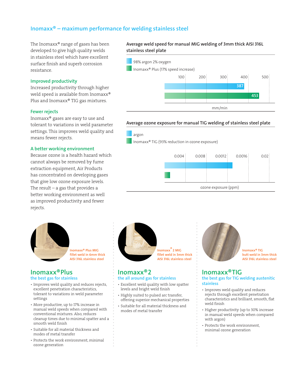# **Inomaxx® – maximum performance for welding stainless steel**

The Inomaxx® range of gases has been developed to give high quality welds in stainless steel which have excellent surface finish and superb corrosion resistance.

#### **Improved productivity**

Increased productivity through higher weld speed is available from Inomaxx® Plus and Inomaxx® TIG gas mixtures.

#### **Fewer rejects**

Inomaxx® gases are easy to use and tolerant to variations in weld parameter settings. This improves weld quality and means fewer rejects.

#### **A better working environment**

Because ozone is a health hazard which cannot always be removed by fume extraction equipment, Air Products has concentrated on developing gases that give low ozone exposure levels. The result – a gas that provides a better working environment as well as improved productivity and fewer rejects.



**Inomaxx® Plus MIG fillet weld in 6mm thick AISI 316L stainless steel**

## **Inomaxx® Plus the best gas for stainless**

- Improves weld quality and reduces rejects, excellent penetration characteristics, tolerant to variations in weld parameter settings
- More productive, up to 17% increase in manual weld speeds when compared with conventional mixtures. Also, reduces cleanup times due to minimal spatter and a smooth weld finish
- Suitable for all material thickness and modes of metal transfer
- Protects the work environment, minimal ozone generation



#### **Inomaxx®2 MIG fillet weld in 3mm thick AISI 316L stainless steel**

## **Inomaxx® 2 the all around gas for stainless**

- Excellent weld quality with low spatter levels and bright weld finish
- Highly suited to pulsed arc transfer, offering superior mechanical properties
- Suitable for all material thickness and modes of metal transfer





#### **Average ozone exposure for manual TIG welding of stainless steel plate**





ozone exposure (ppm)

**Inomaxx® TIG butt weld in 3mm thick AISI 316L stainless steel**

## **Inomaxx® TIG the best gas for TIG welding austenitic**

**stainless** • Improves weld quality and reduces

- rejects through excellent penetration characteristics and brilliant, smooth, flat weld finish
- Higher productivity (up to 30% increase in manual weld speeds when compared with argon)
- Protects the work environment, minimal ozone generation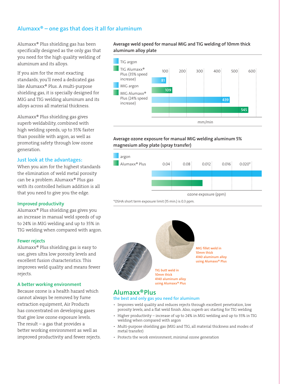# **Alumaxx® – one gas that does it all for aluminum**

Alumaxx® Plus shielding gas has been specifically designed as the only gas that you need for the high quality welding of aluminum and its alloys.

If you aim for the most exacting standards, you'll need a dedicated gas like Alumaxx® Plus. A multi-purpose shielding gas, it is specially designed for MIG and TIG welding aluminum and its alloys across all material thickness.

Alumaxx® Plus shielding gas gives superb weldability, combined with high welding speeds, up to 35% faster than possible with argon, as well as promoting safety through low ozone generation.

#### **Just look at the advantages:**

When you aim for the highest standards the elimination of weld metal porosity can be a problem. Alumaxx® Plus gas with its controlled helium addition is all that you need to give you the edge.

#### **Improved productivity**

Alumaxx® Plus shielding gas gives you an increase in manual weld speeds of up to 24% in MIG welding and up to 35% in TIG welding when compared with argon.

#### **Fewer rejects**

Alumaxx® Plus shielding gas is easy to use, gives ultra low porosity levels and excellent fusion characteristics. This improves weld quality and means fewer rejects.

#### **A better working environment**

Because ozone is a health hazard which cannot always be removed by fume extraction equipment, Air Products has concentrated on developing gases that give low ozone exposure levels. The result  $-$  a gas that provides a better working environment as well as improved productivity and fewer rejects. **Average weld speed for manual MIG and TIG welding of 10mm thick aluminum alloy plate**



## **Average ozone exposure for manual MIG welding aluminum 5% magnesium alloy plate (spray transfer)**



\*OSHA short term exposure limit (15 min.) is 0.3 ppm.



**MIG fillet weld in 10mm thick 4140 aluminum alloy using Alumaxx® Plus**

**TIG butt weld in 10mm thick 4140 aluminum alloy using Alumaxx® Plus**

# **Alumaxx® Plus**

#### **the best and only gas you need for aluminum**

- Improves weld quality and reduces rejects through excellent penetration, low porosity levels, and a flat weld finish. Also, superb arc starting for TIG welding
- Higher productivity increase of up to 24% in MIG welding and up to 35% in TIG welding when compared with argon
- Multi-purpose shielding gas (MIG and TIG, all material thickness and modes of metal transfer)
- Protects the work environment, minimal ozone generation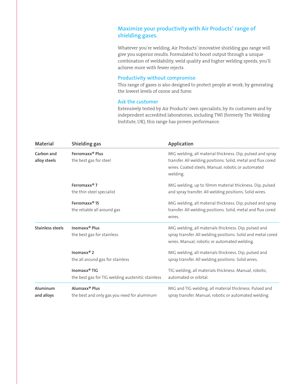# **Maximize your productivity with Air Products' range of shielding gases.**

Whatever you're welding, Air Products' innovative shielding gas range will give you superior results. Formulated to boost output through a unique combination of weldability, weld quality and higher welding speeds, you'll achieve more with fewer rejects.

#### **Productivity without compromise**

This range of gases is also designed to protect people at work, by generating the lowest levels of ozone and fume.

## **Ask the customer**

Extensively tested by Air Products' own specialists, by its customers and by independent accredited laboratories, including TWI (formerly The Welding Institute, UK), this range has proven performance.

| <b>Material</b>            | Shielding gas                                                                 | Application                                                                                                                                                                                  |
|----------------------------|-------------------------------------------------------------------------------|----------------------------------------------------------------------------------------------------------------------------------------------------------------------------------------------|
| Carbon and<br>alloy steels | Ferromaxx <sup>®</sup> Plus<br>the best gas for steel                         | MIG welding, all material thickness. Dip, pulsed and spray<br>transfer. All welding positions. Solid, metal and flux cored<br>wires. Coated steels. Manual, robotic or automated<br>welding. |
|                            | Ferromaxx <sup>®</sup> 7<br>the thin steel specialist                         | MIG welding, up to 10mm material thickness. Dip, pulsed<br>and spray transfer. All welding positions. Solid wires.                                                                           |
|                            | Ferromaxx <sup>®</sup> 15<br>the reliable all around gas                      | MIG welding, all material thickness. Dip, pulsed and spray<br>transfer. All welding positions. Solid, metal and flux cored<br>wires.                                                         |
| Stainless steels           | Inomaxx <sup>®</sup> Plus<br>the best gas for stainless                       | MIG welding, all materials thickness. Dip, pulsed and<br>spray transfer. All welding positions. Solid and metal cored<br>wires. Manual, robotic or automated welding.                        |
|                            | Inomax $x^{\circledcirc}$ 2<br>the all around gas for stainless               | MIG welding, all materials thickness. Dip, pulsed and<br>spray transfer. All welding positions. Solid wires.                                                                                 |
|                            | Inomaxx <sup>®</sup> TIG<br>the best gas for TIG welding austenitic stainless | TIG welding, all materials thickness. Manual, robotic,<br>automated or orbital.                                                                                                              |
| Aluminum<br>and alloys     | Alumaxx <sup>®</sup> Plus<br>the best and only gas you need for aluminum      | MIG and TIG welding, all material thickness. Pulsed and<br>spray transfer. Manual, robotic or automated welding.                                                                             |